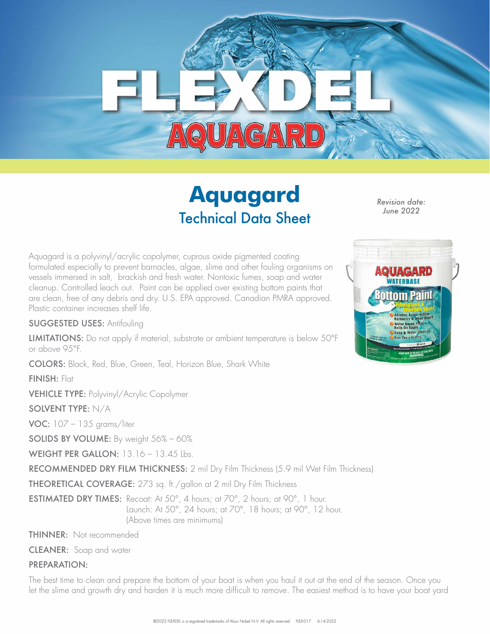

# **Aquagard** Technical Data Sheet

*Revision date: June 2022*

Aquagard is a polyvinyl/acrylic copolymer, cuprous oxide pigmented coating formulated especially to prevent barnacles, algae, slime and other fouling organisms on vessels immersed in salt, brackish and fresh water. Nontoxic fumes, soap and water cleanup. Controlled leach out. Paint can be applied over existing bottom paints that are clean, free of any debris and dry. U.S. EPA approved. Canadian PMRA approved. Plastic container increases shelf life.

#### SUGGESTED USES: Antifouling

LIMITATIONS: Do not apply if material, substrate or ambient temperature is below 50°F or above 95°F.

COLORS: Black, Red, Blue, Green, Teal, Horizon Blue, Shark White

FINISH: Flat

VEHICLE TYPE: Polyvinyl/Acrylic Copolymer

#### SOLVENT TYPE: N/A

VOC: 107 – 135 grams/liter

SOLIDS BY VOLUME: By weight 56% – 60%

WEIGHT PER GALLON: 13.16 - 13.45 Lbs.

RECOMMENDED DRY FILM THICKNESS: 2 mil Dry Film Thickness (5.9 mil Wet Film Thickness)

THEORETICAL COVERAGE: 273 sq. ft./gallon at 2 mil Dry Film Thickness

ESTIMATED DRY TIMES: Recoat: At 50°, 4 hours; at 70°, 2 hours; at 90°, 1 hour. Launch: At 50°, 24 hours; at 70°, 18 hours; at 90°, 12 hour. (Above times are minimums)

THINNER: Not recommended

CLEANER: Soap and water

#### PREPARATION:

The best time to clean and prepare the bottom of your boat is when you haul it out at the end of the season. Once you let the slime and growth dry and harden it is much more difficult to remove. The easiest method is to have your boat yard

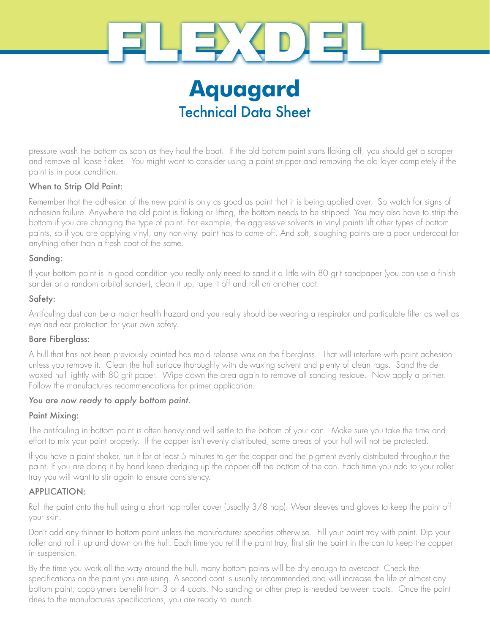

# **Aquagard** Technical Data Sheet

pressure wash the bottom as soon as they haul the boat. If the old bottom paint starts flaking off, you should get a scraper and remove all loose flakes. You might want to consider using a paint stripper and removing the old layer completely if the paint is in poor condition.

## When to Strip Old Paint:

Remember that the adhesion of the new paint is only as good as paint that it is being applied over. So watch for signs of adhesion failure. Anywhere the old paint is flaking or lifting, the bottom needs to be stripped. You may also have to strip the bottom if you are changing the type of paint. For example, the aggressive solvents in vinyl paints lift other types of bottom paints, so if you are applying vinyl, any non-vinyl paint has to come off. And soft, sloughing paints are a poor undercoat for anything other than a fresh coat of the same.

## Sanding:

If your bottom paint is in good condition you really only need to sand it a little with 80 grit sandpaper (you can use a finish sander or a random orbital sander), clean it up, tape it off and roll on another coat.

## Safety:

Antifouling dust can be a major health hazard and you really should be wearing a respirator and particulate filter as well as eye and ear protection for your own safety.

## Bare Fiberglass:

A hull that has not been previously painted has mold release wax on the fiberglass. That will interfere with paint adhesion unless you remove it. Clean the hull surface thoroughly with de-waxing solvent and plenty of clean rags. Sand the dewaxed hull lightly with 80 grit paper. Wipe down the area again to remove all sanding residue. Now apply a primer. Follow the manufactures recommendations for primer application.

## *You are now ready to apply bottom paint.*

## Paint Mixing:

The antifouling in bottom paint is often heavy and will settle to the bottom of your can. Make sure you take the time and effort to mix your paint properly. If the copper isn't evenly distributed, some areas of your hull will not be protected.

If you have a paint shaker, run it for at least 5 minutes to get the copper and the pigment evenly distributed throughout the paint. If you are doing it by hand keep dredging up the copper off the bottom of the can. Each time you add to your roller tray you will want to stir again to ensure consistency.

## APPLICATION:

Roll the paint onto the hull using a short nap roller cover (usually 3/8 nap). Wear sleeves and gloves to keep the paint off your skin.

Don't add any thinner to bottom paint unless the manufacturer specifies otherwise. Fill your paint tray with paint. Dip your roller and roll it up and down on the hull. Each time you refill the paint tray, first stir the paint in the can to keep the copper in suspension.

By the time you work all the way around the hull, many bottom paints will be dry enough to overcoat. Check the specifications on the paint you are using. A second coat is usually recommended and will increase the life of almost any bottom paint; copolymers benefit from 3 or 4 coats. No sanding or other prep is needed between coats. Once the paint dries to the manufactures specifications, you are ready to launch.